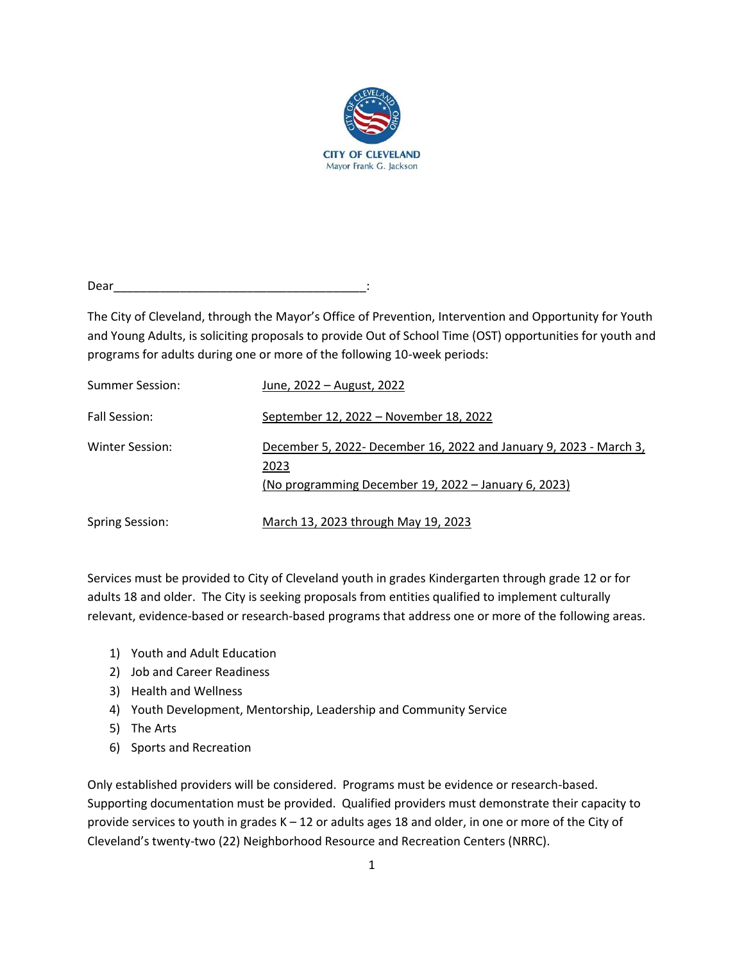

Dear

The City of Cleveland, through the Mayor's Office of Prevention, Intervention and Opportunity for Youth and Young Adults, is soliciting proposals to provide Out of School Time (OST) opportunities for youth and programs for adults during one or more of the following 10-week periods:

| <b>Summer Session:</b> | June, 2022 - August, 2022                                                                                                          |
|------------------------|------------------------------------------------------------------------------------------------------------------------------------|
| Fall Session:          | September 12, 2022 – November 18, 2022                                                                                             |
| Winter Session:        | December 5, 2022- December 16, 2022 and January 9, 2023 - March 3,<br>2023<br>(No programming December 19, 2022 – January 6, 2023) |
| <b>Spring Session:</b> | March 13, 2023 through May 19, 2023                                                                                                |

Services must be provided to City of Cleveland youth in grades Kindergarten through grade 12 or for adults 18 and older. The City is seeking proposals from entities qualified to implement culturally relevant, evidence-based or research-based programs that address one or more of the following areas.

- 1) Youth and Adult Education
- 2) Job and Career Readiness
- 3) Health and Wellness
- 4) Youth Development, Mentorship, Leadership and Community Service
- 5) The Arts
- 6) Sports and Recreation

Only established providers will be considered. Programs must be evidence or research-based. Supporting documentation must be provided. Qualified providers must demonstrate their capacity to provide services to youth in grades K – 12 or adults ages 18 and older, in one or more of the City of Cleveland's twenty-two (22) Neighborhood Resource and Recreation Centers (NRRC).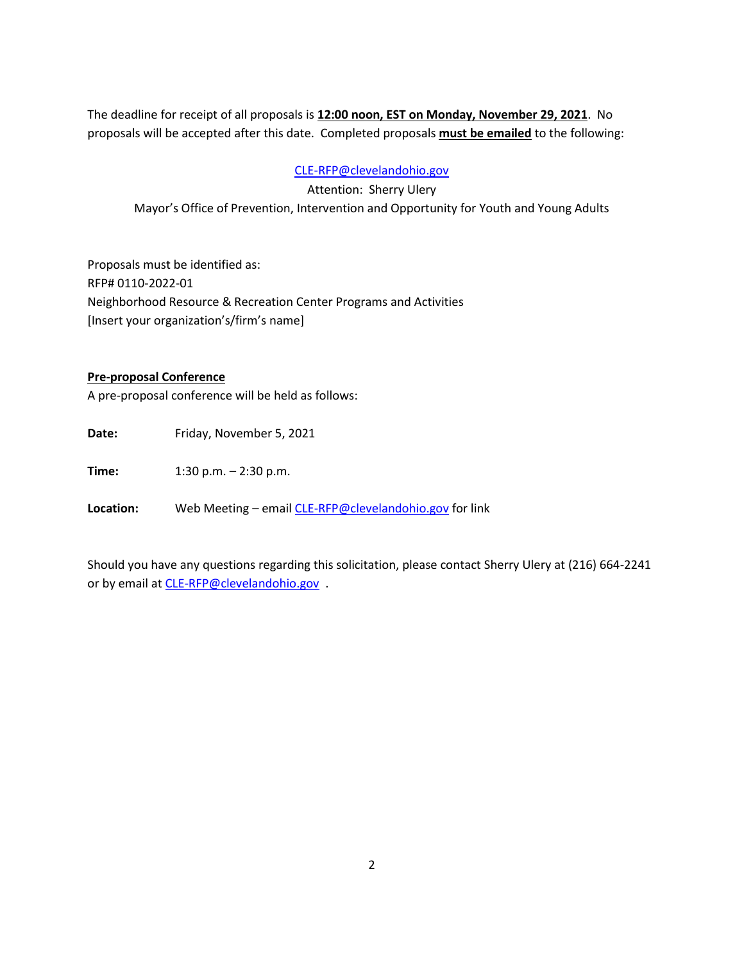The deadline for receipt of all proposals is **12:00 noon, EST on Monday, November 29, 2021**. No proposals will be accepted after this date. Completed proposals **must be emailed** to the following:

### [CLE-RFP@clevelandohio.gov](mailto:CLE-RFP@clevelandohio.gov)

Attention: Sherry Ulery Mayor's Office of Prevention, Intervention and Opportunity for Youth and Young Adults

Proposals must be identified as: RFP# 0110-2022-01 Neighborhood Resource & Recreation Center Programs and Activities [Insert your organization's/firm's name]

### **Pre-proposal Conference**

A pre-proposal conference will be held as follows:

Date: Friday, November 5, 2021

**Time:** 1:30 p.m. – 2:30 p.m.

**Location:** Web Meeting – emai[l CLE-RFP@clevelandohio.gov](mailto:CLE-RFP@clevelandohio.gov) for link

Should you have any questions regarding this solicitation, please contact Sherry Ulery at (216) 664-2241 or by email at [CLE-RFP@clevelandohio.gov](mailto:CLE-RFP@clevelandohio.gov) .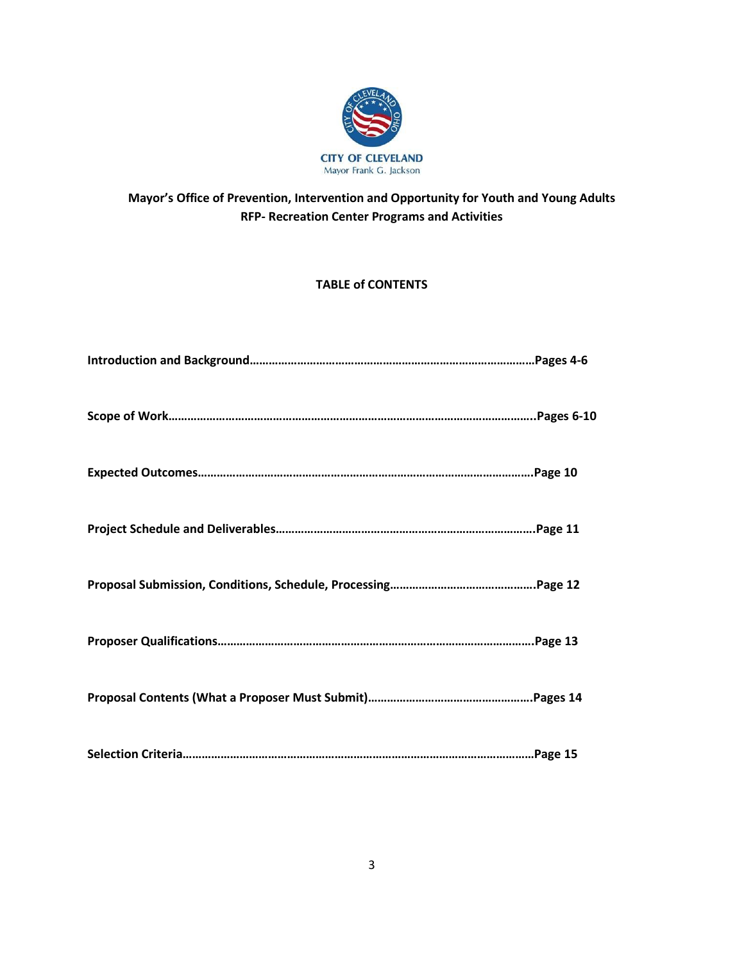

# **Mayor's Office of Prevention, Intervention and Opportunity for Youth and Young Adults RFP- Recreation Center Programs and Activities**

## **TABLE of CONTENTS**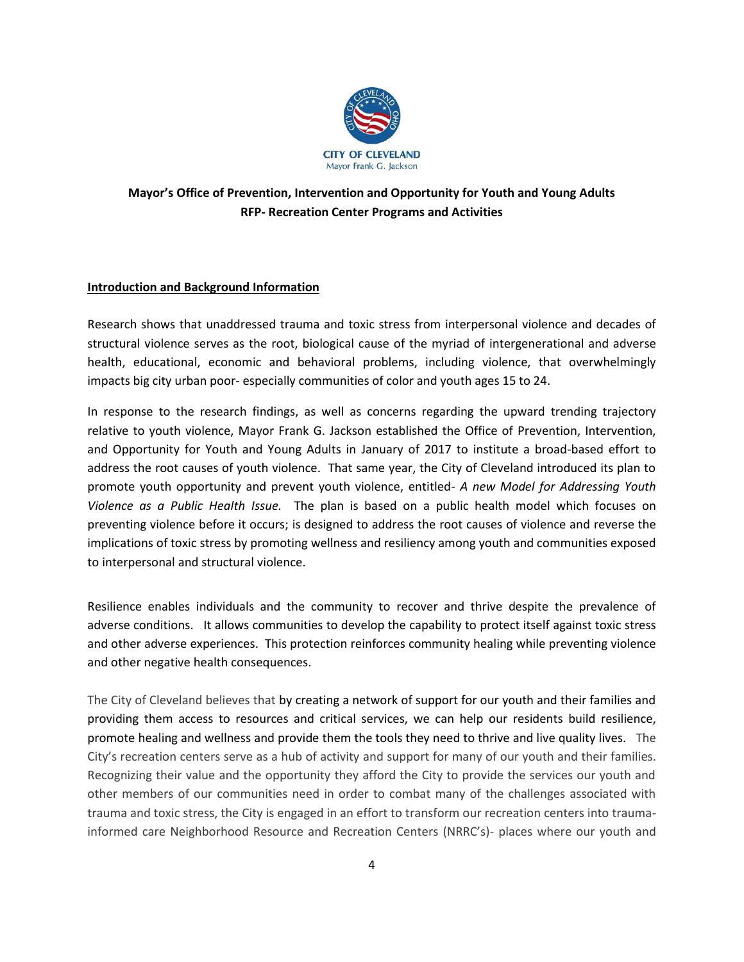

## **Mayor's Office of Prevention, Intervention and Opportunity for Youth and Young Adults RFP- Recreation Center Programs and Activities**

### **Introduction and Background Information**

Research shows that unaddressed trauma and toxic stress from interpersonal violence and decades of structural violence serves as the root, biological cause of the myriad of intergenerational and adverse health, educational, economic and behavioral problems, including violence, that overwhelmingly impacts big city urban poor- especially communities of color and youth ages 15 to 24.

In response to the research findings, as well as concerns regarding the upward trending trajectory relative to youth violence, Mayor Frank G. Jackson established the Office of Prevention, Intervention, and Opportunity for Youth and Young Adults in January of 2017 to institute a broad-based effort to address the root causes of youth violence. That same year, the City of Cleveland introduced its plan to promote youth opportunity and prevent youth violence, entitled- *A new Model for Addressing Youth Violence as a Public Health Issue.* The plan is based on a public health model which focuses on preventing violence before it occurs; is designed to address the root causes of violence and reverse the implications of toxic stress by promoting wellness and resiliency among youth and communities exposed to interpersonal and structural violence.

Resilience enables individuals and the community to recover and thrive despite the prevalence of adverse conditions. It allows communities to develop the capability to protect itself against toxic stress and other adverse experiences. This protection reinforces community healing while preventing violence and other negative health consequences.

The City of Cleveland believes that by creating a network of support for our youth and their families and providing them access to resources and critical services, we can help our residents build resilience, promote healing and wellness and provide them the tools they need to thrive and live quality lives. The City's recreation centers serve as a hub of activity and support for many of our youth and their families. Recognizing their value and the opportunity they afford the City to provide the services our youth and other members of our communities need in order to combat many of the challenges associated with trauma and toxic stress, the City is engaged in an effort to transform our recreation centers into traumainformed care Neighborhood Resource and Recreation Centers (NRRC's)- places where our youth and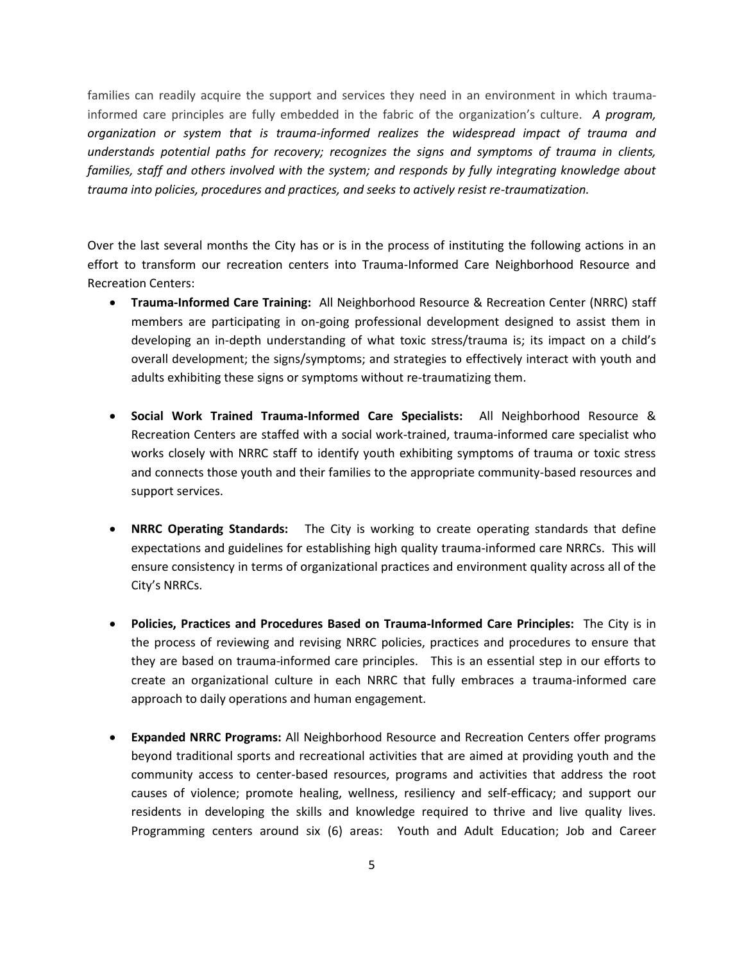families can readily acquire the support and services they need in an environment in which traumainformed care principles are fully embedded in the fabric of the organization's culture. *A program, organization or system that is trauma-informed realizes the widespread impact of trauma and understands potential paths for recovery; recognizes the signs and symptoms of trauma in clients, families, staff and others involved with the system; and responds by fully integrating knowledge about trauma into policies, procedures and practices, and seeks to actively resist re-traumatization.* 

Over the last several months the City has or is in the process of instituting the following actions in an effort to transform our recreation centers into Trauma-Informed Care Neighborhood Resource and Recreation Centers:

- **Trauma-Informed Care Training:** All Neighborhood Resource & Recreation Center (NRRC) staff members are participating in on-going professional development designed to assist them in developing an in-depth understanding of what toxic stress/trauma is; its impact on a child's overall development; the signs/symptoms; and strategies to effectively interact with youth and adults exhibiting these signs or symptoms without re-traumatizing them.
- **Social Work Trained Trauma-Informed Care Specialists:** All Neighborhood Resource & Recreation Centers are staffed with a social work-trained, trauma-informed care specialist who works closely with NRRC staff to identify youth exhibiting symptoms of trauma or toxic stress and connects those youth and their families to the appropriate community-based resources and support services.
- **NRRC Operating Standards:** The City is working to create operating standards that define expectations and guidelines for establishing high quality trauma-informed care NRRCs.This will ensure consistency in terms of organizational practices and environment quality across all of the City's NRRCs.
- **Policies, Practices and Procedures Based on Trauma-Informed Care Principles:** The City is in the process of reviewing and revising NRRC policies, practices and procedures to ensure that they are based on trauma-informed care principles. This is an essential step in our efforts to create an organizational culture in each NRRC that fully embraces a trauma-informed care approach to daily operations and human engagement.
- **Expanded NRRC Programs:** All Neighborhood Resource and Recreation Centers offer programs beyond traditional sports and recreational activities that are aimed at providing youth and the community access to center-based resources, programs and activities that address the root causes of violence; promote healing, wellness, resiliency and self-efficacy; and support our residents in developing the skills and knowledge required to thrive and live quality lives. Programming centers around six (6) areas: Youth and Adult Education; Job and Career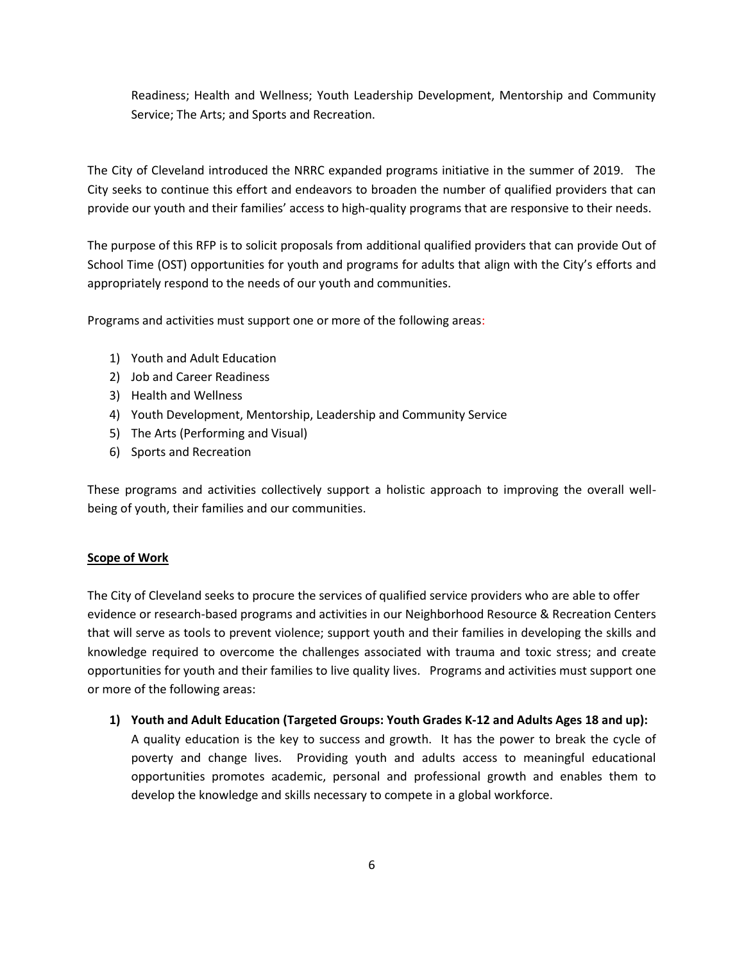Readiness; Health and Wellness; Youth Leadership Development, Mentorship and Community Service; The Arts; and Sports and Recreation.

The City of Cleveland introduced the NRRC expanded programs initiative in the summer of 2019. The City seeks to continue this effort and endeavors to broaden the number of qualified providers that can provide our youth and their families' access to high-quality programs that are responsive to their needs.

The purpose of this RFP is to solicit proposals from additional qualified providers that can provide Out of School Time (OST) opportunities for youth and programs for adults that align with the City's efforts and appropriately respond to the needs of our youth and communities.

Programs and activities must support one or more of the following areas:

- 1) Youth and Adult Education
- 2) Job and Career Readiness
- 3) Health and Wellness
- 4) Youth Development, Mentorship, Leadership and Community Service
- 5) The Arts (Performing and Visual)
- 6) Sports and Recreation

These programs and activities collectively support a holistic approach to improving the overall wellbeing of youth, their families and our communities.

### **Scope of Work**

The City of Cleveland seeks to procure the services of qualified service providers who are able to offer evidence or research-based programs and activities in our Neighborhood Resource & Recreation Centers that will serve as tools to prevent violence; support youth and their families in developing the skills and knowledge required to overcome the challenges associated with trauma and toxic stress; and create opportunities for youth and their families to live quality lives. Programs and activities must support one or more of the following areas:

**1) Youth and Adult Education (Targeted Groups: Youth Grades K-12 and Adults Ages 18 and up):** A quality education is the key to success and growth. It has the power to break the cycle of poverty and change lives. Providing youth and adults access to meaningful educational opportunities promotes academic, personal and professional growth and enables them to develop the knowledge and skills necessary to compete in a global workforce.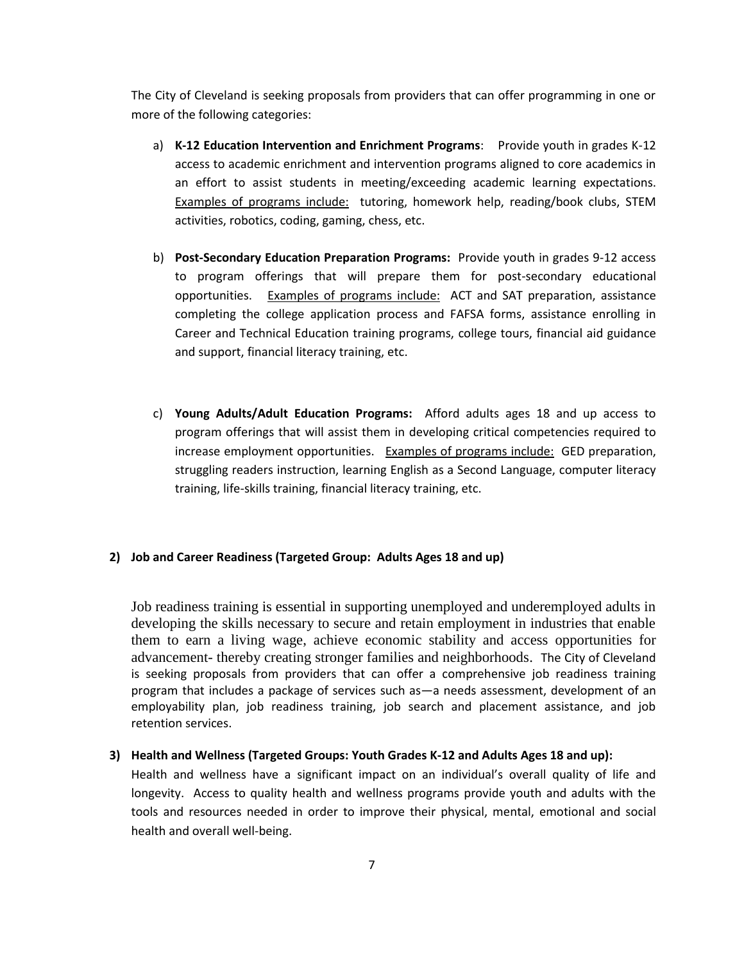The City of Cleveland is seeking proposals from providers that can offer programming in one or more of the following categories:

- a) **K-12 Education Intervention and Enrichment Programs**: Provide youth in grades K-12 access to academic enrichment and intervention programs aligned to core academics in an effort to assist students in meeting/exceeding academic learning expectations. Examples of programs include: tutoring, homework help, reading/book clubs, STEM activities, robotics, coding, gaming, chess, etc.
- b) **Post-Secondary Education Preparation Programs:** Provide youth in grades 9-12 access to program offerings that will prepare them for post-secondary educational opportunities. Examples of programs include: ACT and SAT preparation, assistance completing the college application process and FAFSA forms, assistance enrolling in Career and Technical Education training programs, college tours, financial aid guidance and support, financial literacy training, etc.
- c) **Young Adults/Adult Education Programs:** Afford adults ages 18 and up access to program offerings that will assist them in developing critical competencies required to increase employment opportunities. Examples of programs include: GED preparation, struggling readers instruction, learning English as a Second Language, computer literacy training, life-skills training, financial literacy training, etc.

#### **2) Job and Career Readiness (Targeted Group: Adults Ages 18 and up)**

Job readiness training is essential in supporting unemployed and underemployed adults in developing the skills necessary to secure and retain employment in industries that enable them to earn a living wage, achieve economic stability and access opportunities for advancement- thereby creating stronger families and neighborhoods. The City of Cleveland is seeking proposals from providers that can offer a comprehensive job readiness training program that includes a package of services such as—a needs assessment, development of an employability plan, job readiness training, job search and placement assistance, and job retention services.

#### **3) Health and Wellness (Targeted Groups: Youth Grades K-12 and Adults Ages 18 and up):**

Health and wellness have a significant impact on an individual's overall quality of life and longevity. Access to quality health and wellness programs provide youth and adults with the tools and resources needed in order to improve their physical, mental, emotional and social health and overall well-being.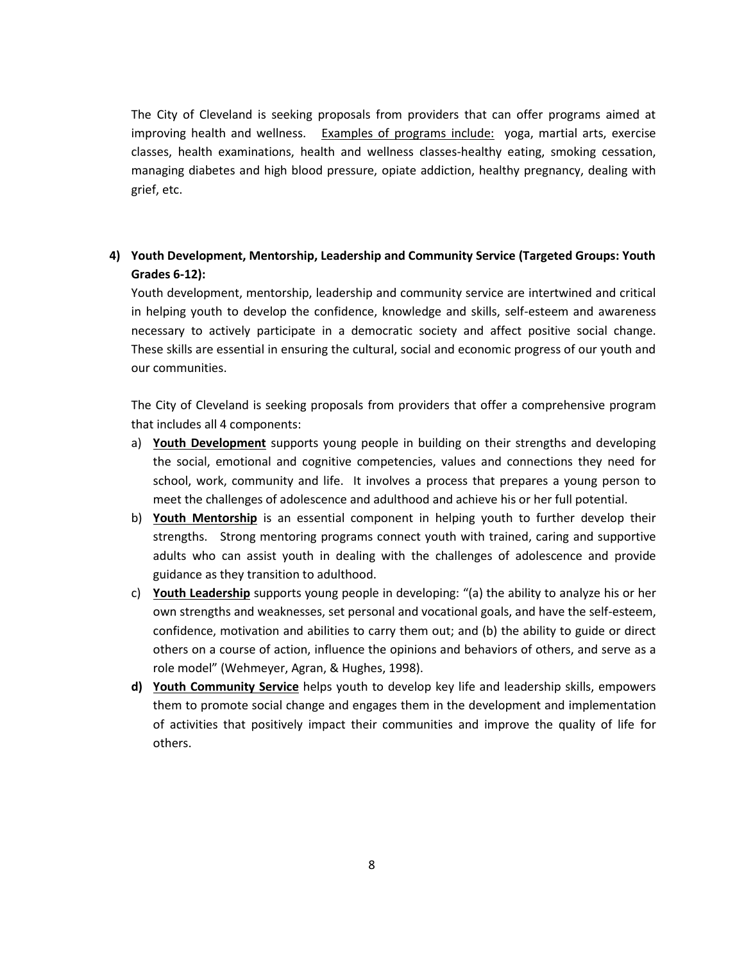The City of Cleveland is seeking proposals from providers that can offer programs aimed at improving health and wellness. Examples of programs include: yoga, martial arts, exercise classes, health examinations, health and wellness classes-healthy eating, smoking cessation, managing diabetes and high blood pressure, opiate addiction, healthy pregnancy, dealing with grief, etc.

## **4) Youth Development, Mentorship, Leadership and Community Service (Targeted Groups: Youth Grades 6-12):**

Youth development, mentorship, leadership and community service are intertwined and critical in helping youth to develop the confidence, knowledge and skills, self-esteem and awareness necessary to actively participate in a democratic society and affect positive social change. These skills are essential in ensuring the cultural, social and economic progress of our youth and our communities.

The City of Cleveland is seeking proposals from providers that offer a comprehensive program that includes all 4 components:

- a) **Youth Development** supports young people in building on their strengths and developing the social, emotional and cognitive competencies, values and connections they need for school, work, community and life. It involves a process that prepares a young person to meet the challenges of adolescence and adulthood and achieve his or her full potential.
- b) **Youth Mentorship** is an essential component in helping youth to further develop their strengths. Strong mentoring programs connect youth with trained, caring and supportive adults who can assist youth in dealing with the challenges of adolescence and provide guidance as they transition to adulthood.
- c) **Youth Leadership** supports young people in developing: "(a) the ability to analyze his or her own strengths and weaknesses, set personal and vocational goals, and have the self-esteem, confidence, motivation and abilities to carry them out; and (b) the ability to guide or direct others on a course of action, influence the opinions and behaviors of others, and serve as a role model" (Wehmeyer, Agran, & Hughes, 1998).
- **d) Youth Community Service** helps youth to develop key life and leadership skills, empowers them to promote social change and engages them in the development and implementation of activities that positively impact their communities and improve the quality of life for others.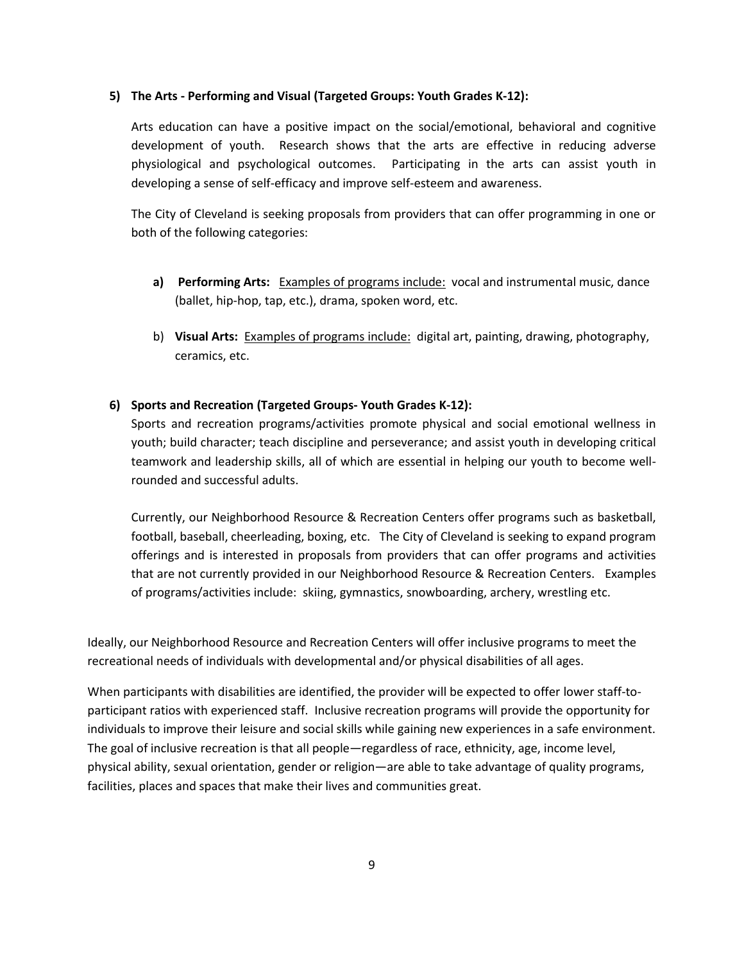#### **5) The Arts - Performing and Visual (Targeted Groups: Youth Grades K-12):**

Arts education can have a positive impact on the social/emotional, behavioral and cognitive development of youth. Research shows that the arts are effective in reducing adverse physiological and psychological outcomes. Participating in the arts can assist youth in developing a sense of self-efficacy and improve self-esteem and awareness.

The City of Cleveland is seeking proposals from providers that can offer programming in one or both of the following categories:

- **a) Performing Arts:** Examples of programs include: vocal and instrumental music, dance (ballet, hip-hop, tap, etc.), drama, spoken word, etc.
- b) **Visual Arts:** Examples of programs include: digital art, painting, drawing, photography, ceramics, etc.

#### **6) Sports and Recreation (Targeted Groups- Youth Grades K-12):**

Sports and recreation programs/activities promote physical and social emotional wellness in youth; build character; teach discipline and perseverance; and assist youth in developing critical teamwork and leadership skills, all of which are essential in helping our youth to become wellrounded and successful adults.

Currently, our Neighborhood Resource & Recreation Centers offer programs such as basketball, football, baseball, cheerleading, boxing, etc. The City of Cleveland is seeking to expand program offerings and is interested in proposals from providers that can offer programs and activities that are not currently provided in our Neighborhood Resource & Recreation Centers. Examples of programs/activities include: skiing, gymnastics, snowboarding, archery, wrestling etc.

Ideally, our Neighborhood Resource and Recreation Centers will offer inclusive programs to meet the recreational needs of individuals with developmental and/or physical disabilities of all ages.

When participants with disabilities are identified, the provider will be expected to offer lower staff-toparticipant ratios with experienced staff. Inclusive recreation programs will provide the opportunity for individuals to improve their leisure and social skills while gaining new experiences in a safe environment. The goal of inclusive recreation is that all people—regardless of race, ethnicity, age, income level, physical ability, sexual orientation, gender or religion—are able to take advantage of quality programs, facilities, places and spaces that make their lives and communities great.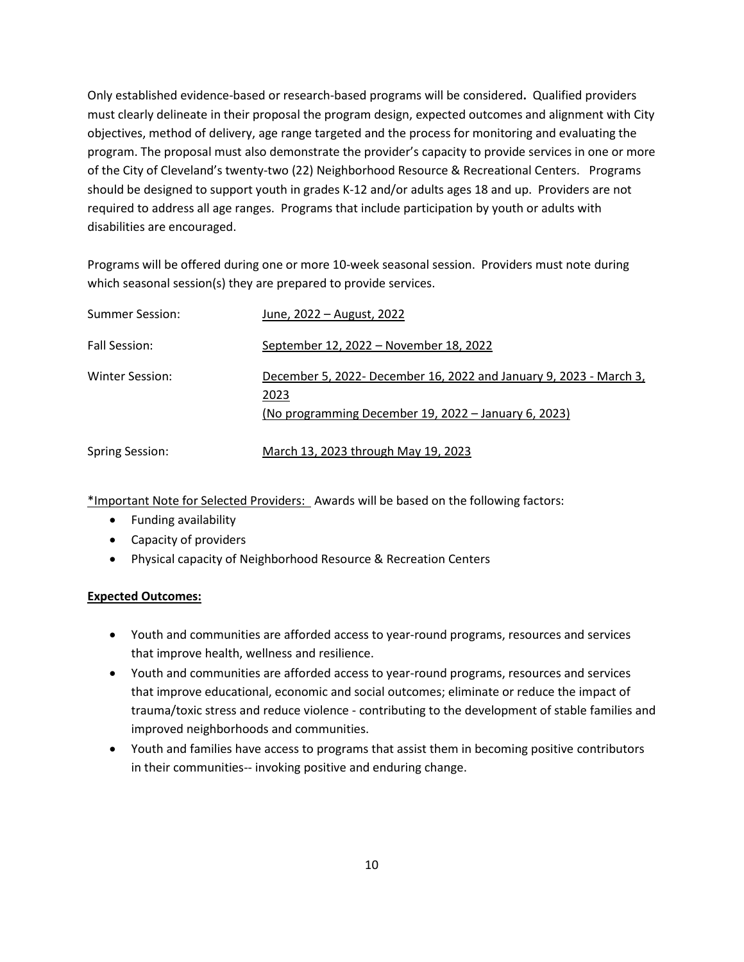Only established evidence-based or research-based programs will be considered**.** Qualified providers must clearly delineate in their proposal the program design, expected outcomes and alignment with City objectives, method of delivery, age range targeted and the process for monitoring and evaluating the program. The proposal must also demonstrate the provider's capacity to provide services in one or more of the City of Cleveland's twenty-two (22) Neighborhood Resource & Recreational Centers. Programs should be designed to support youth in grades K-12 and/or adults ages 18 and up. Providers are not required to address all age ranges. Programs that include participation by youth or adults with disabilities are encouraged.

Programs will be offered during one or more 10-week seasonal session. Providers must note during which seasonal session(s) they are prepared to provide services.

| Summer Session:        | June, 2022 – August, 2022                                                                                                          |
|------------------------|------------------------------------------------------------------------------------------------------------------------------------|
| Fall Session:          | September 12, 2022 – November 18, 2022                                                                                             |
| Winter Session:        | December 5, 2022- December 16, 2022 and January 9, 2023 - March 3,<br>2023<br>(No programming December 19, 2022 – January 6, 2023) |
| <b>Spring Session:</b> | March 13, 2023 through May 19, 2023                                                                                                |

\*Important Note for Selected Providers: Awards will be based on the following factors:

- Funding availability
- Capacity of providers
- Physical capacity of Neighborhood Resource & Recreation Centers

## **Expected Outcomes:**

- Youth and communities are afforded access to year-round programs, resources and services that improve health, wellness and resilience.
- Youth and communities are afforded access to year-round programs, resources and services that improve educational, economic and social outcomes; eliminate or reduce the impact of trauma/toxic stress and reduce violence - contributing to the development of stable families and improved neighborhoods and communities.
- Youth and families have access to programs that assist them in becoming positive contributors in their communities-- invoking positive and enduring change.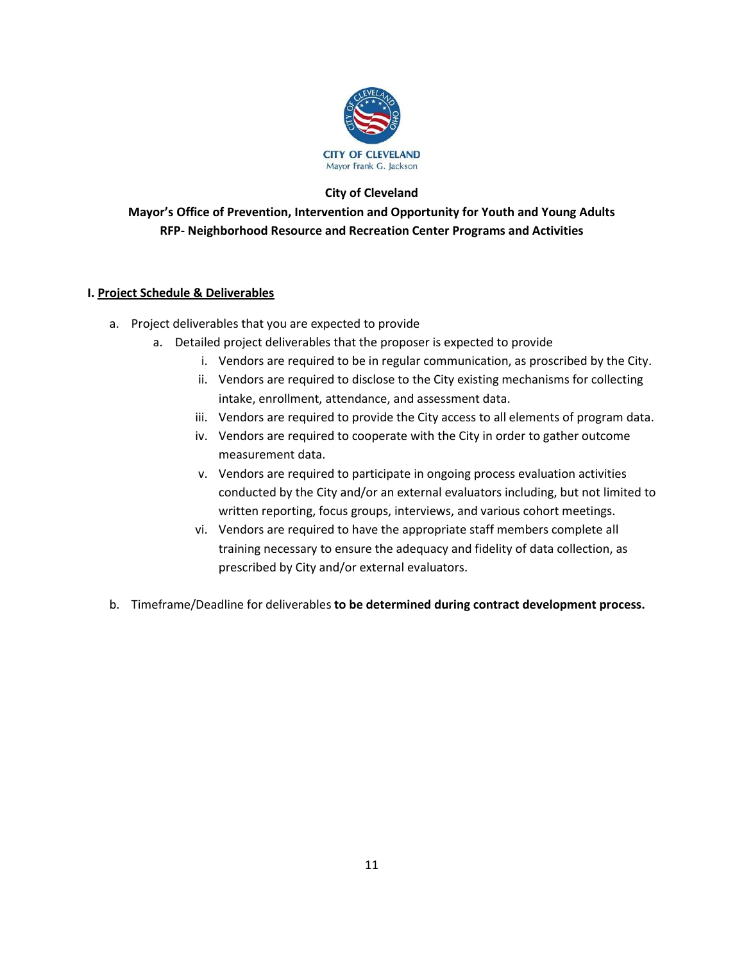

### **City of Cleveland**

**Mayor's Office of Prevention, Intervention and Opportunity for Youth and Young Adults RFP- Neighborhood Resource and Recreation Center Programs and Activities**

### **I. Project Schedule & Deliverables**

- a. Project deliverables that you are expected to provide
	- a. Detailed project deliverables that the proposer is expected to provide
		- i. Vendors are required to be in regular communication, as proscribed by the City.
		- ii. Vendors are required to disclose to the City existing mechanisms for collecting intake, enrollment, attendance, and assessment data.
		- iii. Vendors are required to provide the City access to all elements of program data.
		- iv. Vendors are required to cooperate with the City in order to gather outcome measurement data.
		- v. Vendors are required to participate in ongoing process evaluation activities conducted by the City and/or an external evaluators including, but not limited to written reporting, focus groups, interviews, and various cohort meetings.
		- vi. Vendors are required to have the appropriate staff members complete all training necessary to ensure the adequacy and fidelity of data collection, as prescribed by City and/or external evaluators.
- b. Timeframe/Deadline for deliverables **to be determined during contract development process.**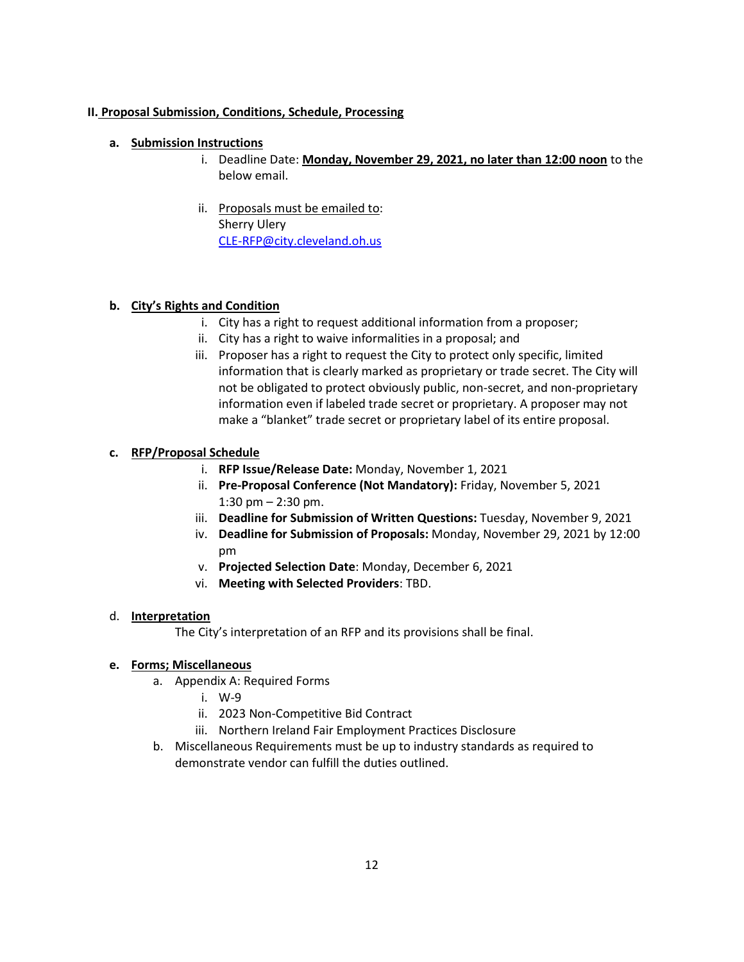### **II. Proposal Submission, Conditions, Schedule, Processing**

### **a. Submission Instructions**

- i. Deadline Date: **Monday, November 29, 2021, no later than 12:00 noon** to the below email.
- ii. Proposals must be emailed to: Sherry Ulery [CLE-RFP@city.cleveland.oh.us](mailto:CLE-RFP@city.cleveland.oh.us)

### **b. City's Rights and Condition**

- i. City has a right to request additional information from a proposer;
- ii. City has a right to waive informalities in a proposal; and
- iii. Proposer has a right to request the City to protect only specific, limited information that is clearly marked as proprietary or trade secret. The City will not be obligated to protect obviously public, non-secret, and non-proprietary information even if labeled trade secret or proprietary. A proposer may not make a "blanket" trade secret or proprietary label of its entire proposal.

### **c. RFP/Proposal Schedule**

- i. **RFP Issue/Release Date:** Monday, November 1, 2021
- ii. **Pre-Proposal Conference (Not Mandatory):** Friday, November 5, 2021 1:30 pm  $-$  2:30 pm.
- iii. **Deadline for Submission of Written Questions:** Tuesday, November 9, 2021
- iv. **Deadline for Submission of Proposals:** Monday, November 29, 2021 by 12:00 pm
- v. **Projected Selection Date**: Monday, December 6, 2021
- vi. **Meeting with Selected Providers**: TBD.

#### d. **Interpretation**

The City's interpretation of an RFP and its provisions shall be final.

#### **e. Forms; Miscellaneous**

- a. Appendix A: Required Forms
	- i. W-9
	- ii. 2023 Non-Competitive Bid Contract
	- iii. Northern Ireland Fair Employment Practices Disclosure
- b. Miscellaneous Requirements must be up to industry standards as required to demonstrate vendor can fulfill the duties outlined.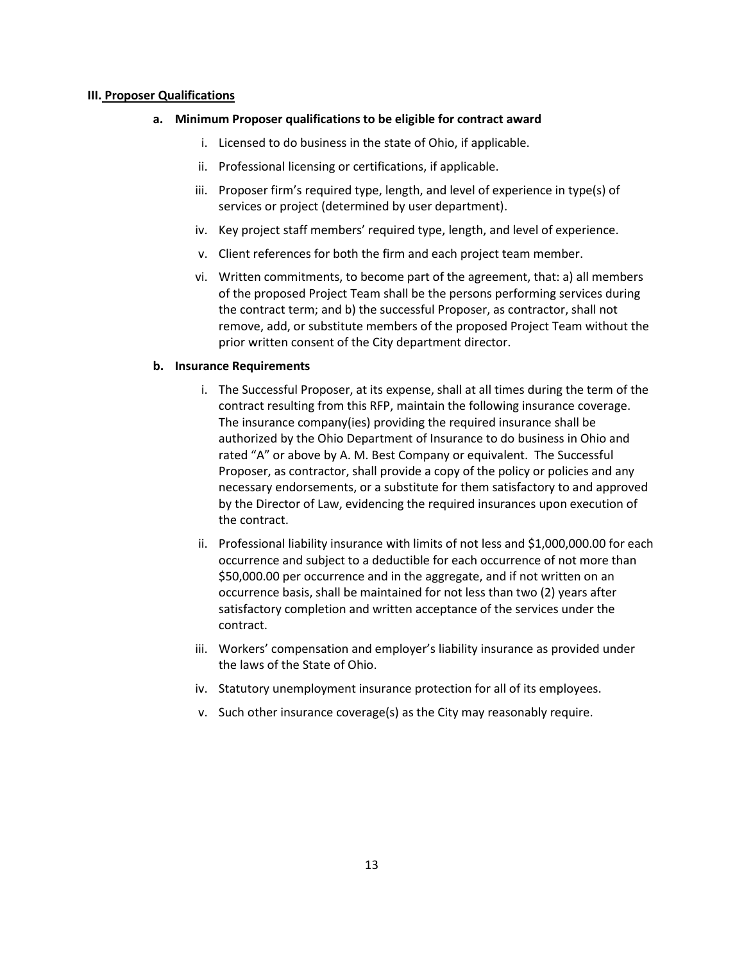#### **III. Proposer Qualifications**

#### **a. Minimum Proposer qualifications to be eligible for contract award**

- i. Licensed to do business in the state of Ohio, if applicable.
- ii. Professional licensing or certifications, if applicable.
- iii. Proposer firm's required type, length, and level of experience in type(s) of services or project (determined by user department).
- iv. Key project staff members' required type, length, and level of experience.
- v. Client references for both the firm and each project team member.
- vi. Written commitments, to become part of the agreement, that: a) all members of the proposed Project Team shall be the persons performing services during the contract term; and b) the successful Proposer, as contractor, shall not remove, add, or substitute members of the proposed Project Team without the prior written consent of the City department director.

#### **b. Insurance Requirements**

- i. The Successful Proposer, at its expense, shall at all times during the term of the contract resulting from this RFP, maintain the following insurance coverage. The insurance company(ies) providing the required insurance shall be authorized by the Ohio Department of Insurance to do business in Ohio and rated "A" or above by A. M. Best Company or equivalent. The Successful Proposer, as contractor, shall provide a copy of the policy or policies and any necessary endorsements, or a substitute for them satisfactory to and approved by the Director of Law, evidencing the required insurances upon execution of the contract.
- ii. Professional liability insurance with limits of not less and \$1,000,000.00 for each occurrence and subject to a deductible for each occurrence of not more than \$50,000.00 per occurrence and in the aggregate, and if not written on an occurrence basis, shall be maintained for not less than two (2) years after satisfactory completion and written acceptance of the services under the contract.
- iii. Workers' compensation and employer's liability insurance as provided under the laws of the State of Ohio.
- iv. Statutory unemployment insurance protection for all of its employees.
- v. Such other insurance coverage(s) as the City may reasonably require.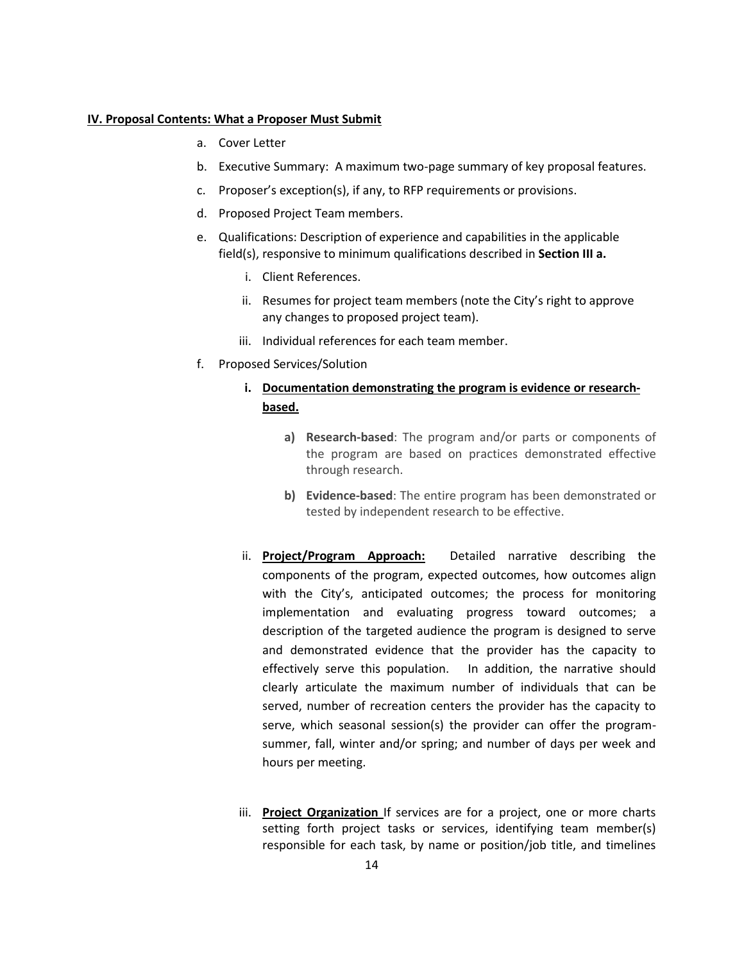#### **IV. Proposal Contents: What a Proposer Must Submit**

- a. Cover Letter
- b. Executive Summary: A maximum two-page summary of key proposal features.
- c. Proposer's exception(s), if any, to RFP requirements or provisions.
- d. Proposed Project Team members.
- e. Qualifications: Description of experience and capabilities in the applicable field(s), responsive to minimum qualifications described in **Section III a.**
	- i. Client References.
	- ii. Resumes for project team members (note the City's right to approve any changes to proposed project team).
	- iii. Individual references for each team member.
- f. Proposed Services/Solution

### **i. Documentation demonstrating the program is evidence or researchbased.**

- **a) Research-based**: The program and/or parts or components of the program are based on practices demonstrated effective through research.
- **b) Evidence-based**: The entire program has been demonstrated or tested by independent research to be effective.
- ii. **Project/Program Approach:** Detailed narrative describing the components of the program, expected outcomes, how outcomes align with the City's, anticipated outcomes; the process for monitoring implementation and evaluating progress toward outcomes; a description of the targeted audience the program is designed to serve and demonstrated evidence that the provider has the capacity to effectively serve this population. In addition, the narrative should clearly articulate the maximum number of individuals that can be served, number of recreation centers the provider has the capacity to serve, which seasonal session(s) the provider can offer the programsummer, fall, winter and/or spring; and number of days per week and hours per meeting.
- iii. **Project Organization** If services are for a project, one or more charts setting forth project tasks or services, identifying team member(s) responsible for each task, by name or position/job title, and timelines